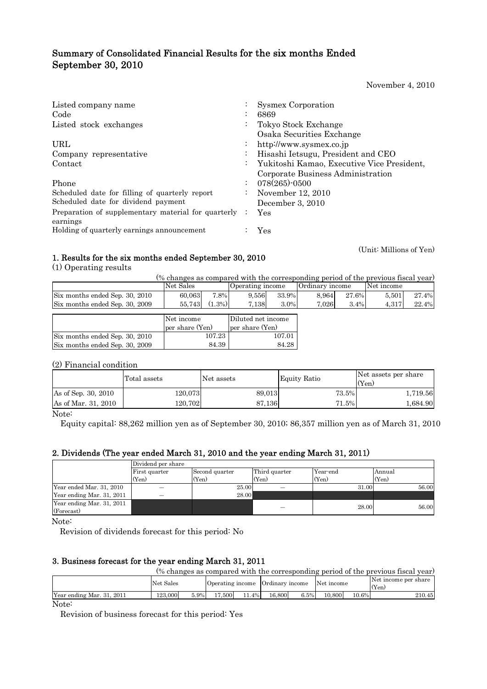# Summary of Consolidated Financial Results for the six months Ended September 30, 2010

November 4, 2010

| Listed company name                                             |                      | <b>Sysmex Corporation</b>                  |
|-----------------------------------------------------------------|----------------------|--------------------------------------------|
| Code                                                            |                      | 6869                                       |
| Listed stock exchanges                                          | $\ddot{\phantom{0}}$ | Tokyo Stock Exchange                       |
|                                                                 |                      | Osaka Securities Exchange                  |
| URL                                                             | $\bullet$            | http://www.sysmex.co.jp                    |
| Company representative                                          | $\bullet$            | Hisashi Ietsugu, President and CEO         |
| Contact                                                         | $\ddot{\phantom{0}}$ | Yukitoshi Kamao, Executive Vice President, |
|                                                                 |                      | Corporate Business Administration          |
| Phone                                                           |                      | $078(265)$ -0500                           |
| Scheduled date for filling of quarterly report                  | $\ddot{\phantom{0}}$ | November 12, 2010                          |
| Scheduled date for dividend payment                             |                      | December 3, 2010                           |
| Preparation of supplementary material for quarterly<br>earnings | $\ddot{\phantom{0}}$ | Yes                                        |
| Holding of quarterly earnings announcement                      |                      | Yes                                        |

(Unit: Millions of Yen)

# 1. Results for the six months ended September 30, 2010

(1) Operating results

| (% changes as compared with the corresponding period of the previous fiscal year) |                 |           |                    |         |                 |         |            |       |  |  |
|-----------------------------------------------------------------------------------|-----------------|-----------|--------------------|---------|-----------------|---------|------------|-------|--|--|
|                                                                                   | Net Sales       |           | Operating income   |         | Ordinary income |         | Net income |       |  |  |
| Six months ended Sep. 30, 2010                                                    | 60.063          | 7.8%      | 9.556              | 33.9%   | 8.964           | 27.6%   | 5.501      | 27.4% |  |  |
| Six months ended Sep. 30, 2009                                                    | 55,743          | $(1.3\%)$ | 7,138              | $3.0\%$ | 7,026           | $3.4\%$ | 4,317      | 22.4% |  |  |
|                                                                                   |                 |           |                    |         |                 |         |            |       |  |  |
|                                                                                   | Net income      |           | Diluted net income |         |                 |         |            |       |  |  |
|                                                                                   | per share (Yen) |           | per share (Yen)    |         |                 |         |            |       |  |  |
| Six months ended Sep. 30, 2010                                                    | 107.23          |           | 107.01             |         |                 |         |            |       |  |  |
| Six months ended Sep. 30, 2009                                                    |                 | 84.39     |                    | 84.28   |                 |         |            |       |  |  |

# (2) Financial condition

|                     | Total assets | Net assets | Equity Ratio | Net assets per share<br>(Yen) |  |
|---------------------|--------------|------------|--------------|-------------------------------|--|
| As of Sep. 30, 2010 | 120.073      | 89.013     | 73.5%        | 1,719.56                      |  |
| As of Mar. 31, 2010 | 120.702      | 87,136     | 71.5%        | 1,684.90                      |  |

Note:

Equity capital: 88,262 million yen as of September 30, 2010; 86,357 million yen as of March 31, 2010

## 2. Dividends (The year ended March 31, 2010 and the year ending March 31, 2011)

|                           | Dividend per share |                |               |          |        |
|---------------------------|--------------------|----------------|---------------|----------|--------|
|                           | First quarter      | Second quarter | Third quarter | Year-end | Annual |
|                           | (Yen)              | (Yen)          | (Yen)         | (Yen)    | (Yen)  |
| Year ended Mar. 31, 2010  |                    | 25.00          |               | 31.00    | 56.00  |
| Year ending Mar. 31, 2011 |                    | 28.00          |               |          |        |
| Year ending Mar. 31, 2011 |                    |                |               | 28.00    | 56.00  |
| (Forecast)                |                    |                |               |          |        |

Note:

Revision of dividends forecast for this period: No

## 3. Business forecast for the year ending March 31, 2011

| (% changes as compared with the corresponding period of the previous fiscal year) |           |      |        |          |        |      |                                             |       |                               |  |
|-----------------------------------------------------------------------------------|-----------|------|--------|----------|--------|------|---------------------------------------------|-------|-------------------------------|--|
|                                                                                   | Net Sales |      |        |          |        |      | Operating income Ordinary income Net income |       | Net income per share<br>(Yen) |  |
| Year ending Mar. 31, 2011                                                         | 123.000   | 5.9% | 17.500 | $11.4\%$ | 16.800 | 6.5% | 10.800                                      | 10.6% | 210.45                        |  |
| $\mathbf{X}$ $\mathbf{Y}$                                                         |           |      |        |          |        |      |                                             |       |                               |  |

Note:

Revision of business forecast for this period: Yes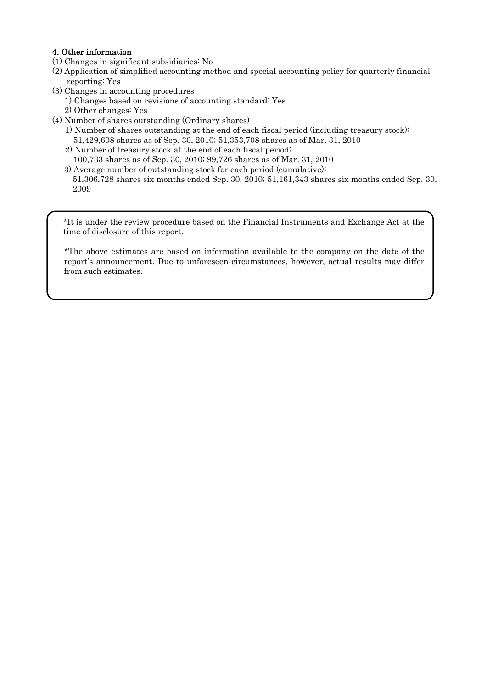## 4. Other information

- (1) Changes in significant subsidiaries: No
- (2) Application of simplified accounting method and special accounting policy for quarterly financial reporting: Yes
- (3) Changes in accounting procedures
	- 1) Changes based on revisions of accounting standard: Yes
	- 2) Other changes: Yes
- (4) Number of shares outstanding (Ordinary shares)
	- 1) Number of shares outstanding at the end of each fiscal period (including treasury stock): 51,429,608 shares as of Sep. 30, 2010; 51,353,708 shares as of Mar. 31, 2010
	- 2) Number of treasury stock at the end of each fiscal period:
	- 100,733 shares as of Sep. 30, 2010; 99,726 shares as of Mar. 31, 2010
	- 3) Average number of outstanding stock for each period (cumulative): 51,306,728 shares six months ended Sep. 30, 2010; 51,161,343 shares six months ended Sep. 30, 2009

\*It is under the review procedure based on the Financial Instruments and Exchange Act at the time of disclosure of this report.

\*The above estimates are based on information available to the company on the date of the report's announcement. Due to unforeseen circumstances, however, actual results may differ from such estimates.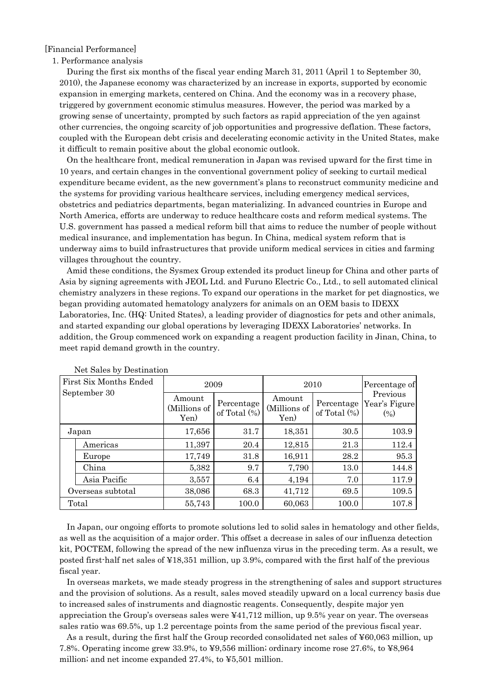### [Financial Performance]

#### 1. Performance analysis

During the first six months of the fiscal year ending March 31, 2011 (April 1 to September 30, 2010), the Japanese economy was characterized by an increase in exports, supported by economic expansion in emerging markets, centered on China. And the economy was in a recovery phase, triggered by government economic stimulus measures. However, the period was marked by a growing sense of uncertainty, prompted by such factors as rapid appreciation of the yen against other currencies, the ongoing scarcity of job opportunities and progressive deflation. These factors, coupled with the European debt crisis and decelerating economic activity in the United States, make it difficult to remain positive about the global economic outlook.

On the healthcare front, medical remuneration in Japan was revised upward for the first time in 10 years, and certain changes in the conventional government policy of seeking to curtail medical expenditure became evident, as the new government's plans to reconstruct community medicine and the systems for providing various healthcare services, including emergency medical services, obstetrics and pediatrics departments, began materializing. In advanced countries in Europe and North America, efforts are underway to reduce healthcare costs and reform medical systems. The U.S. government has passed a medical reform bill that aims to reduce the number of people without medical insurance, and implementation has begun. In China, medical system reform that is underway aims to build infrastructures that provide uniform medical services in cities and farming villages throughout the country.

Amid these conditions, the Sysmex Group extended its product lineup for China and other parts of Asia by signing agreements with JEOL Ltd. and Furuno Electric Co., Ltd., to sell automated clinical chemistry analyzers in these regions. To expand our operations in the market for pet diagnostics, we began providing automated hematology analyzers for animals on an OEM basis to IDEXX Laboratories, Inc. (HQ: United States), a leading provider of diagnostics for pets and other animals, and started expanding our global operations by leveraging IDEXX Laboratories' networks. In addition, the Group commenced work on expanding a reagent production facility in Jinan, China, to meet rapid demand growth in the country.

| First Six Months Ended | 2009                                                            |       | 2010                           | Percentage of<br>Previous<br>Year's Figure<br>$(\%)$ |       |
|------------------------|-----------------------------------------------------------------|-------|--------------------------------|------------------------------------------------------|-------|
| September 30           | Amount<br>Percentage<br>(Millions of<br>of Total $(\%)$<br>Yen) |       | Amount<br>(Millions of<br>Yen) |                                                      |       |
| Japan                  | 17,656                                                          | 31.7  | 18,351                         | 30.5                                                 | 103.9 |
| Americas               | 11,397                                                          | 20.4  | 12,815                         | 21.3                                                 | 112.4 |
| Europe                 | 17,749                                                          | 31.8  | 16,911                         | 28.2                                                 | 95.3  |
| China                  | 5,382                                                           | 9.7   | 7,790                          | 13.0                                                 | 144.8 |
| Asia Pacific           | 3,557                                                           | 6.4   | 4,194                          | 7.0                                                  | 117.9 |
| Overseas subtotal      | 38,086                                                          | 68.3  | 41,712                         | 69.5                                                 | 109.5 |
| Total                  | 55,743                                                          | 100.0 | 60,063                         | 100.0                                                | 107.8 |

Net Sales by Destination

In Japan, our ongoing efforts to promote solutions led to solid sales in hematology and other fields, as well as the acquisition of a major order. This offset a decrease in sales of our influenza detection kit, POCTEM, following the spread of the new influenza virus in the preceding term. As a result, we posted first-half net sales of ¥18,351 million, up 3.9%, compared with the first half of the previous fiscal year.

In overseas markets, we made steady progress in the strengthening of sales and support structures and the provision of solutions. As a result, sales moved steadily upward on a local currency basis due to increased sales of instruments and diagnostic reagents. Consequently, despite major yen appreciation the Group's overseas sales were ¥41,712 million, up 9.5% year on year. The overseas sales ratio was 69.5%, up 1.2 percentage points from the same period of the previous fiscal year.

As a result, during the first half the Group recorded consolidated net sales of ¥60,063 million, up 7.8%. Operating income grew 33.9%, to ¥9,556 million; ordinary income rose 27.6%, to ¥8,964 million; and net income expanded 27.4%, to ¥5,501 million.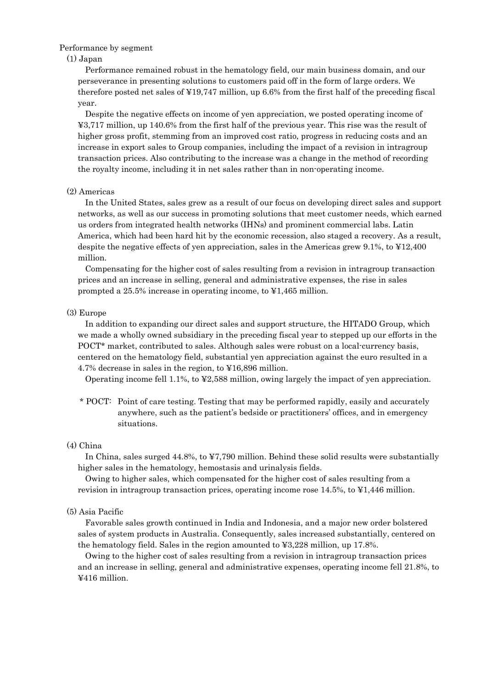### Performance by segment

### (1) Japan

Performance remained robust in the hematology field, our main business domain, and our perseverance in presenting solutions to customers paid off in the form of large orders. We therefore posted net sales of ¥19,747 million, up 6.6% from the first half of the preceding fiscal year.

Despite the negative effects on income of yen appreciation, we posted operating income of ¥3,717 million, up 140.6% from the first half of the previous year. This rise was the result of higher gross profit, stemming from an improved cost ratio, progress in reducing costs and an increase in export sales to Group companies, including the impact of a revision in intragroup transaction prices. Also contributing to the increase was a change in the method of recording the royalty income, including it in net sales rather than in non-operating income.

### (2) Americas

In the United States, sales grew as a result of our focus on developing direct sales and support networks, as well as our success in promoting solutions that meet customer needs, which earned us orders from integrated health networks (IHNs) and prominent commercial labs. Latin America, which had been hard hit by the economic recession, also staged a recovery. As a result, despite the negative effects of yen appreciation, sales in the Americas grew 9.1%, to ¥12,400 million.

Compensating for the higher cost of sales resulting from a revision in intragroup transaction prices and an increase in selling, general and administrative expenses, the rise in sales prompted a 25.5% increase in operating income, to ¥1,465 million.

### (3) Europe

In addition to expanding our direct sales and support structure, the HITADO Group, which we made a wholly owned subsidiary in the preceding fiscal year to stepped up our efforts in the POCT\* market, contributed to sales. Although sales were robust on a local-currency basis, centered on the hematology field, substantial yen appreciation against the euro resulted in a 4.7% decrease in sales in the region, to ¥16,896 million.

Operating income fell 1.1%, to ¥2,588 million, owing largely the impact of yen appreciation.

\* POCT: Point of care testing. Testing that may be performed rapidly, easily and accurately anywhere, such as the patient's bedside or practitioners' offices, and in emergency situations.

### (4) China

In China, sales surged 44.8%, to ¥7,790 million. Behind these solid results were substantially higher sales in the hematology, hemostasis and urinalysis fields.

Owing to higher sales, which compensated for the higher cost of sales resulting from a revision in intragroup transaction prices, operating income rose 14.5%, to ¥1,446 million.

#### (5) Asia Pacific

Favorable sales growth continued in India and Indonesia, and a major new order bolstered sales of system products in Australia. Consequently, sales increased substantially, centered on the hematology field. Sales in the region amounted to ¥3,228 million, up 17.8%.

Owing to the higher cost of sales resulting from a revision in intragroup transaction prices and an increase in selling, general and administrative expenses, operating income fell 21.8%, to ¥416 million.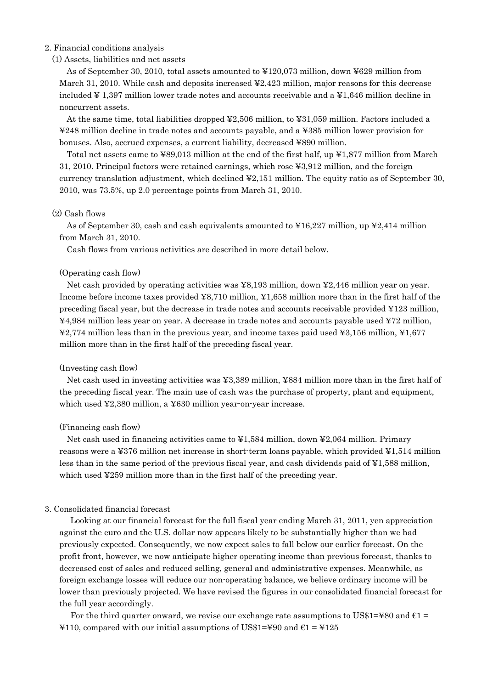### 2. Financial conditions analysis

## (1) Assets, liabilities and net assets

As of September 30, 2010, total assets amounted to ¥120,073 million, down ¥629 million from March 31, 2010. While cash and deposits increased ¥2,423 million, major reasons for this decrease included ¥ 1,397 million lower trade notes and accounts receivable and a ¥1,646 million decline in noncurrent assets.

At the same time, total liabilities dropped ¥2,506 million, to ¥31,059 million. Factors included a ¥248 million decline in trade notes and accounts payable, and a ¥385 million lower provision for bonuses. Also, accrued expenses, a current liability, decreased ¥890 million.

Total net assets came to ¥89,013 million at the end of the first half, up ¥1,877 million from March 31, 2010. Principal factors were retained earnings, which rose ¥3,912 million, and the foreign currency translation adjustment, which declined ¥2,151 million. The equity ratio as of September 30, 2010, was 73.5%, up 2.0 percentage points from March 31, 2010.

### (2) Cash flows

As of September 30, cash and cash equivalents amounted to  $\text{\textless{16,227}}$  million, up  $\text{\textless{2,414}}$  million from March 31, 2010.

Cash flows from various activities are described in more detail below.

### (Operating cash flow)

Net cash provided by operating activities was ¥8,193 million, down ¥2,446 million year on year. Income before income taxes provided ¥8,710 million, ¥1,658 million more than in the first half of the preceding fiscal year, but the decrease in trade notes and accounts receivable provided ¥123 million, ¥4,984 million less year on year. A decrease in trade notes and accounts payable used ¥72 million, ¥2,774 million less than in the previous year, and income taxes paid used ¥3,156 million, ¥1,677 million more than in the first half of the preceding fiscal year.

#### (Investing cash flow)

Net cash used in investing activities was ¥3,389 million, ¥884 million more than in the first half of the preceding fiscal year. The main use of cash was the purchase of property, plant and equipment, which used ¥2,380 million, a ¥630 million year-on-year increase.

#### (Financing cash flow)

Net cash used in financing activities came to ¥1,584 million, down ¥2,064 million. Primary reasons were a ¥376 million net increase in short-term loans payable, which provided ¥1,514 million less than in the same period of the previous fiscal year, and cash dividends paid of ¥1,588 million, which used ¥259 million more than in the first half of the preceding year.

### 3. Consolidated financial forecast

Looking at our financial forecast for the full fiscal year ending March 31, 2011, yen appreciation against the euro and the U.S. dollar now appears likely to be substantially higher than we had previously expected. Consequently, we now expect sales to fall below our earlier forecast. On the profit front, however, we now anticipate higher operating income than previous forecast, thanks to decreased cost of sales and reduced selling, general and administrative expenses. Meanwhile, as foreign exchange losses will reduce our non-operating balance, we believe ordinary income will be lower than previously projected. We have revised the figures in our consolidated financial forecast for the full year accordingly.

For the third quarter onward, we revise our exchange rate assumptions to US\$1=¥80 and  $\epsilon$ 1 = ¥110, compared with our initial assumptions of US\$1=¥90 and  $\epsilon$ 1 = ¥125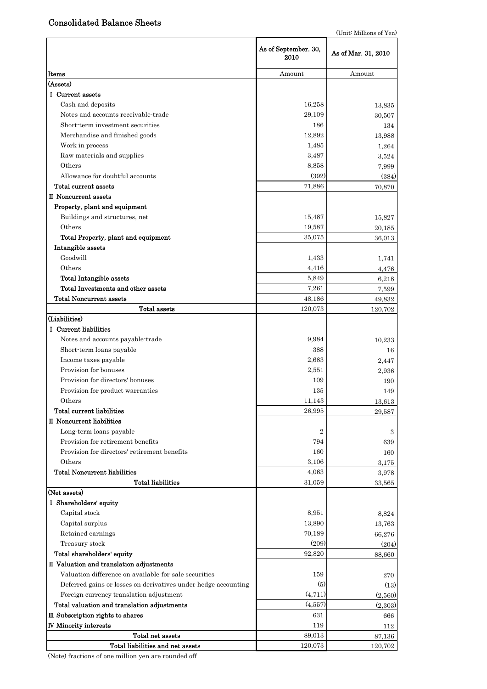# Consolidated Balance Sheets

|                                                                | As of September. 30,<br>2010 | As of Mar. 31, 2010 |
|----------------------------------------------------------------|------------------------------|---------------------|
| Items                                                          | Amount                       | Amount              |
| (Assets)                                                       |                              |                     |
| I Current assets                                               |                              |                     |
| Cash and deposits                                              | 16,258                       | 13,835              |
| Notes and accounts receivable-trade                            | 29,109                       | 30,507              |
| Short term investment securities                               | 186                          | 134                 |
| Merchandise and finished goods                                 | 12,892                       | 13,988              |
| Work in process                                                | 1,485                        | 1,264               |
| Raw materials and supplies                                     | 3,487                        | 3,524               |
| Others                                                         | 8,858                        | 7,999               |
| Allowance for doubtful accounts                                | (392)                        | (384)               |
| Total current assets                                           | 71,886                       | 70,870              |
| II Noncurrent assets                                           |                              |                     |
| Property, plant and equipment                                  |                              |                     |
| Buildings and structures, net                                  | 15,487                       | 15,827              |
| Others                                                         | 19,587                       | $20,\!185$          |
| Total Property, plant and equipment                            | 35,075                       | 36,013              |
| Intangible assets                                              |                              |                     |
| Goodwill                                                       | 1,433                        | 1,741               |
| Others                                                         | 4,416                        | 4,476               |
| <b>Total Intangible assets</b>                                 | 5,849                        | 6,218               |
| Total Investments and other assets                             | 7,261                        | 7,599               |
| <b>Total Noncurrent assets</b>                                 | 48,186                       | 49,832              |
| Total assets                                                   | 120,073                      | 120,702             |
| (Liabilities)                                                  |                              |                     |
| I Current liabilities                                          |                              |                     |
| Notes and accounts payable-trade                               | 9,984                        | 10,233              |
| Short-term loans payable                                       | 388                          | 16                  |
| Income taxes payable                                           | 2,683                        | 2,447               |
| Provision for bonuses                                          | 2,551                        | 2,936               |
| Provision for directors' bonuses                               | 109                          | 190                 |
| Provision for product warranties                               | 135                          | 149                 |
| Others                                                         | 11,143                       | $13,\!613$          |
| Total current liabilities                                      | 26,995                       | 29,587              |
| II Noncurrent liabilities                                      |                              |                     |
| Long-term loans payable                                        | $\boldsymbol{2}$             | 3                   |
| Provision for retirement benefits                              | 794                          | 639                 |
| Provision for directors' retirement benefits                   | 160                          | 160                 |
| Others                                                         | 3,106                        | 3,175               |
| <b>Total Noncurrent liabilities</b>                            | 4,063                        | 3,978               |
| <b>Total liabilities</b>                                       | 31,059                       | 33,565              |
| (Net assets)                                                   |                              |                     |
| I Shareholders' equity                                         |                              |                     |
| Capital stock                                                  | 8,951                        | 8,824               |
| Capital surplus                                                | 13,890                       | 13,763              |
| Retained earnings                                              | 70,189                       | 66,276              |
| Treasury stock                                                 | (209)                        | (204)               |
| Total shareholders' equity                                     | 92,820                       | 88,660              |
| II Valuation and translation adjustments                       |                              |                     |
| Valuation difference on available-for-sale securities          | 159                          | 270                 |
| Deferred gains or losses on derivatives under hedge accounting | (5)                          | (13)                |
| Foreign currency translation adjustment                        | (4, 711)                     | (2,560)             |
| Total valuation and translation adjustments                    | (4,557)                      | (2,303)             |
| III Subscription rights to shares                              | 631                          | 666                 |
| <b>IV Minority interests</b>                                   | 119                          | 112                 |
| Total net assets                                               | 89,013                       | 87,136              |
| Total liabilities and net assets                               | 120,073                      | 120,702             |

(Note) fractions of one million yen are rounded off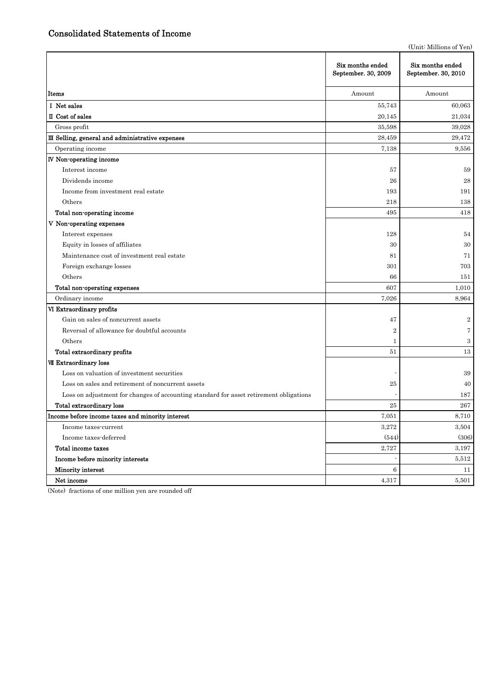(Unit: Millions of Yen)

|                                                                                        | Six months ended<br>September. 30, 2009 | Six months ended<br>September. 30, 2010 |
|----------------------------------------------------------------------------------------|-----------------------------------------|-----------------------------------------|
| Items                                                                                  | Amount                                  | Amount                                  |
| I Net sales                                                                            | 55,743                                  | 60,063                                  |
| II Cost of sales                                                                       | 20,145                                  | 21,034                                  |
| Gross profit                                                                           | 35,598                                  | 39,028                                  |
| III Selling, general and administrative expenses                                       | 28,459                                  | 29,472                                  |
| Operating income                                                                       | 7,138                                   | 9,556                                   |
| IV Non-operating income                                                                |                                         |                                         |
| Interest income                                                                        | 57                                      | 59                                      |
| Dividends income                                                                       | 26                                      | 28                                      |
| Income from investment real estate                                                     | 193                                     | 191                                     |
| Others                                                                                 | 218                                     | 138                                     |
| Total non-operating income                                                             | 495                                     | 418                                     |
| V Non-operating expenses                                                               |                                         |                                         |
| Interest expenses                                                                      | 128                                     | 54                                      |
| Equity in losses of affiliates                                                         | 30                                      | 30                                      |
| Maintenance cost of investment real estate                                             | 81                                      | 71                                      |
| Foreign exchange losses                                                                | 301                                     | 703                                     |
| Others                                                                                 | 66                                      | 151                                     |
| Total non-operating expenses                                                           | 607                                     | 1,010                                   |
| Ordinary income                                                                        | 7,026                                   | 8,964                                   |
| VI Extraordinary profits                                                               |                                         |                                         |
| Gain on sales of noncurrent assets                                                     | 47                                      | $\boldsymbol{2}$                        |
| Reversal of allowance for doubtful accounts                                            | $\overline{2}$                          | $\overline{7}$                          |
| Others                                                                                 | 1                                       | $\,3$                                   |
| Total extraordinary profits                                                            | 51                                      | 13                                      |
| VII Extraordinary loss                                                                 |                                         |                                         |
| Loss on valuation of investment securities                                             |                                         | 39                                      |
| Loss on sales and retirement of noncurrent assets                                      | 25                                      | 40                                      |
| Loss on adjustment for changes of accounting standard for asset retirement obligations |                                         | 187                                     |
| Total extraordinary loss                                                               | 25                                      | 267                                     |
| Income before income taxes and minority interest                                       | 7,051                                   | 8,710                                   |
| Income taxes-current                                                                   | 3,272                                   | 3,504                                   |
| Income taxes-deferred                                                                  | (544)                                   | (306)                                   |
| Total income taxes                                                                     | 2,727                                   | 3,197                                   |
| Income before minority interests                                                       |                                         | 5,512                                   |
| Minority interest                                                                      | 6                                       | 11                                      |
| Net income                                                                             | 4,317                                   | 5,501                                   |

(Note) fractions of one million yen are rounded off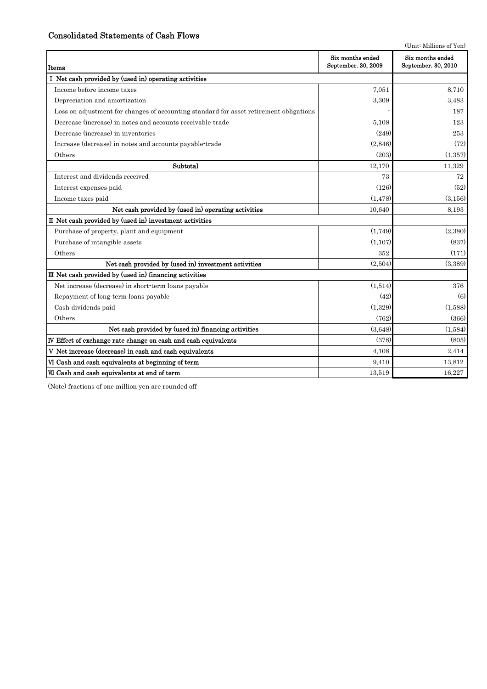# Consolidated Statements of Cash Flows

|                                                                                        |                                         | (Unit: Millions of Yen)                 |
|----------------------------------------------------------------------------------------|-----------------------------------------|-----------------------------------------|
| Items                                                                                  | Six months ended<br>September. 30, 2009 | Six months ended<br>September. 30, 2010 |
| I Net cash provided by (used in) operating activities                                  |                                         |                                         |
| Income before income taxes                                                             | 7.051                                   | 8,710                                   |
| Depreciation and amortization                                                          | 3,309                                   | 3,483                                   |
| Loss on adjustment for changes of accounting standard for asset retirement obligations |                                         | 187                                     |
| Decrease (increase) in notes and accounts receivable-trade                             | 5,108                                   | 123                                     |
| Decrease (increase) in inventories                                                     | (249)                                   | 253                                     |
| Increase (decrease) in notes and accounts payable-trade                                | (2,846)                                 | (72)                                    |
| Others                                                                                 | (203)                                   | (1,357)                                 |
| Subtotal                                                                               | 12,170                                  | 11,329                                  |
| Interest and dividends received                                                        | 73                                      | 72                                      |
| Interest expenses paid                                                                 | (126)                                   | (52)                                    |
| Income taxes paid                                                                      | (1, 478)                                | (3.156)                                 |
| Net cash provided by (used in) operating activities                                    | 10.640                                  | 8,193                                   |
| II Net cash provided by (used in) investment activities                                |                                         |                                         |
| Purchase of property, plant and equipment                                              | (1,749)                                 | (2,380)                                 |
| Purchase of intangible assets                                                          | (1,107)                                 | (837)                                   |
| Others                                                                                 | 352                                     | (171)                                   |
| Net cash provided by (used in) investment activities                                   | (2,504)                                 | (3,389)                                 |
| III Net cash provided by (used in) financing activities                                |                                         |                                         |
| Net increase (decrease) in short-term loans payable                                    | (1,514)                                 | 376                                     |
| Repayment of long-term loans payable                                                   | (42)                                    | (6)                                     |
| Cash dividends paid                                                                    | (1,329)                                 | (1,588)                                 |
| Others                                                                                 | (762)                                   | (366)                                   |
| Net cash provided by (used in) financing activities                                    | (3,648)                                 | (1,584)                                 |
| IV Effect of exchange rate change on cash and cash equivalents                         | (378)                                   | (805)                                   |
| V Net increase (decrease) in cash and cash equivalents                                 | 4,108                                   | 2,414                                   |
| VI Cash and cash equivalents at beginning of term                                      | 9,410                                   | 13,812                                  |
| VII Cash and cash equivalents at end of term                                           | 13,519                                  | 16,227                                  |

(Note) fractions of one million yen are rounded off